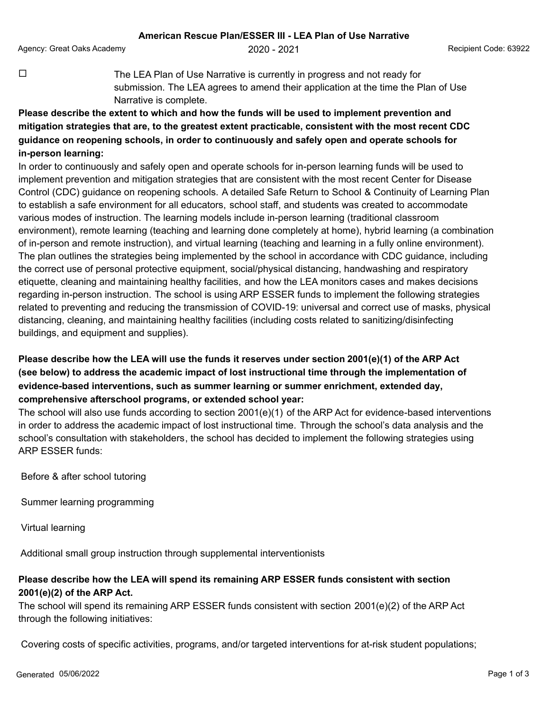Agency: Great Oaks Academy **2020 - 2021** 2020 - 2021 Recipient Code: 63922

 $\Box$  The LEA Plan of Use Narrative is currently in progress and not ready for submission. The LEA agrees to amend their application at the time the Plan of Use Narrative is complete.

**Please describe the extent to which and how the funds will be used to implement prevention and mitigation strategies that are, to the greatest extent practicable, consistent with the most recent CDC guidance on reopening schools, in order to continuously and safely open and operate schools for in-person learning:**

In order to continuously and safely open and operate schools for in-person learning funds will be used to implement prevention and mitigation strategies that are consistent with the most recent Center for Disease Control (CDC) guidance on reopening schools. A detailed Safe Return to School & Continuity of Learning Plan to establish a safe environment for all educators, school staff, and students was created to accommodate various modes of instruction. The learning models include in-person learning (traditional classroom environment), remote learning (teaching and learning done completely at home), hybrid learning (a combination of in-person and remote instruction), and virtual learning (teaching and learning in a fully online environment). The plan outlines the strategies being implemented by the school in accordance with CDC guidance, including the correct use of personal protective equipment, social/physical distancing, handwashing and respiratory etiquette, cleaning and maintaining healthy facilities, and how the LEA monitors cases and makes decisions regarding in-person instruction. The school is using ARP ESSER funds to implement the following strategies related to preventing and reducing the transmission of COVID-19: universal and correct use of masks, physical distancing, cleaning, and maintaining healthy facilities (including costs related to sanitizing/disinfecting buildings, and equipment and supplies).

## **Please describe how the LEA will use the funds it reserves under section 2001(e)(1) of the ARP Act (see below) to address the academic impact of lost instructional time through the implementation of evidence-based interventions, such as summer learning or summer enrichment, extended day, comprehensive afterschool programs, or extended school year:**

The school will also use funds according to section 2001(e)(1) of the ARP Act for evidence-based interventions in order to address the academic impact of lost instructional time. Through the school's data analysis and the school's consultation with stakeholders, the school has decided to implement the following strategies using ARP ESSER funds:

Before & after school tutoring

Summer learning programming

Virtual learning

Additional small group instruction through supplemental interventionists

## **Please describe how the LEA will spend its remaining ARP ESSER funds consistent with section 2001(e)(2) of the ARP Act.**

The school will spend its remaining ARP ESSER funds consistent with section 2001(e)(2) of the ARP Act through the following initiatives:

Covering costs of specific activities, programs, and/or targeted interventions for at-risk student populations;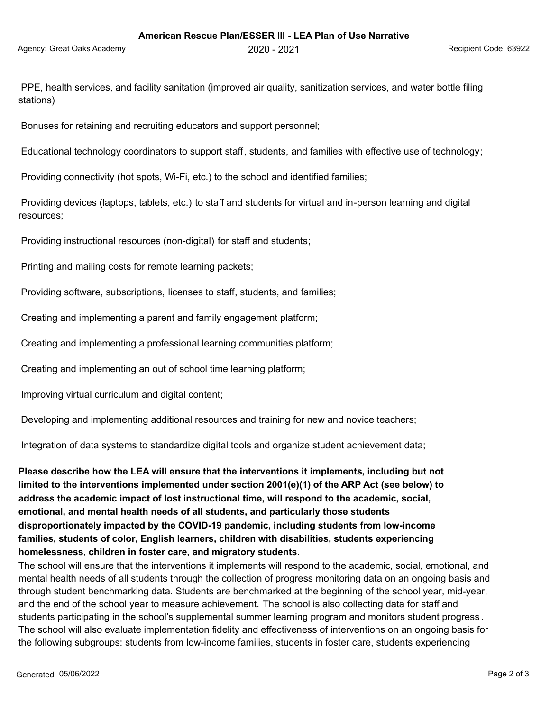PPE, health services, and facility sanitation (improved air quality, sanitization services, and water bottle filing stations)

Bonuses for retaining and recruiting educators and support personnel;

Educational technology coordinators to support staff, students, and families with effective use of technology;

Providing connectivity (hot spots, Wi-Fi, etc.) to the school and identified families;

 Providing devices (laptops, tablets, etc.) to staff and students for virtual and in-person learning and digital resources;

Providing instructional resources (non-digital) for staff and students;

Printing and mailing costs for remote learning packets;

Providing software, subscriptions, licenses to staff, students, and families;

Creating and implementing a parent and family engagement platform;

Creating and implementing a professional learning communities platform;

Creating and implementing an out of school time learning platform;

Improving virtual curriculum and digital content;

Developing and implementing additional resources and training for new and novice teachers;

Integration of data systems to standardize digital tools and organize student achievement data;

**Please describe how the LEA will ensure that the interventions it implements, including but not limited to the interventions implemented under section 2001(e)(1) of the ARP Act (see below) to address the academic impact of lost instructional time, will respond to the academic, social, emotional, and mental health needs of all students, and particularly those students disproportionately impacted by the COVID-19 pandemic, including students from low-income families, students of color, English learners, children with disabilities, students experiencing homelessness, children in foster care, and migratory students.**

The school will ensure that the interventions it implements will respond to the academic, social, emotional, and mental health needs of all students through the collection of progress monitoring data on an ongoing basis and through student benchmarking data. Students are benchmarked at the beginning of the school year, mid-year, and the end of the school year to measure achievement. The school is also collecting data for staff and students participating in the school's supplemental summer learning program and monitors student progress . The school will also evaluate implementation fidelity and effectiveness of interventions on an ongoing basis for the following subgroups: students from low-income families, students in foster care, students experiencing